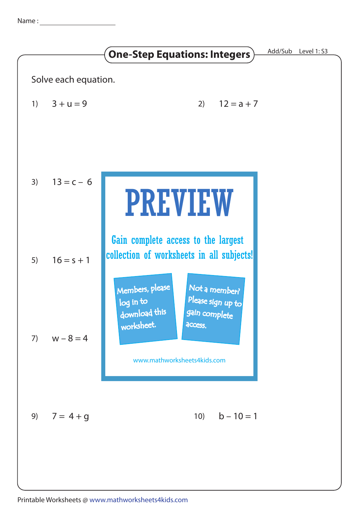